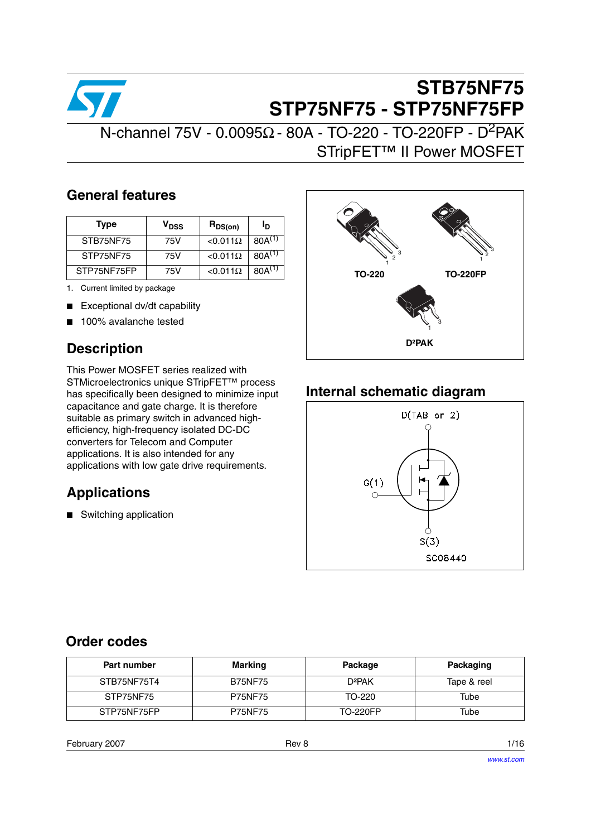

# **STB75NF75 STP75NF75 - STP75NF75FP**

 $N$ -channel 75V - 0.0095Ω - 80A - TO-220 - TO-220FP - D<sup>2</sup>PAK STripFET™ II Power MOSFET

### **General features**

| <b>Type</b> | V <sub>DSS</sub> | $R_{DS(on)}$     | םי          |
|-------------|------------------|------------------|-------------|
| STB75NF75   | 75V              | $< 0.011 \Omega$ | $80A^{(1)}$ |
| STP75NF75   | 75V              | $< 0.011 \Omega$ | $80A^{(1)}$ |
| STP75NF75FP | 75V              | $< 0.011 \Omega$ | $80A^{(1)}$ |

1. Current limited by package

- Exceptional dv/dt capability
- 100% avalanche tested

## **Description**

This Power MOSFET series realized with STMicroelectronics unique STripFET™ process has specifically been designed to minimize input capacitance and gate charge. It is therefore suitable as primary switch in advanced highefficiency, high-frequency isolated DC-DC converters for Telecom and Computer applications. It is also intended for any applications with low gate drive requirements.

## **Applications**

■ Switching application



## **Internal schematic diagram**



### **Order codes**

| Part number | <b>Marking</b> | Package            | Packaging   |
|-------------|----------------|--------------------|-------------|
| STB75NF75T4 | <b>B75NF75</b> | D <sup>2</sup> PAK | Tape & reel |
| STP75NF75   | <b>P75NF75</b> | TO-220             | Tube        |
| STP75NF75FP | <b>P75NF75</b> | <b>TO-220FP</b>    | Tube        |

February 2007 **Rev 8** 1/16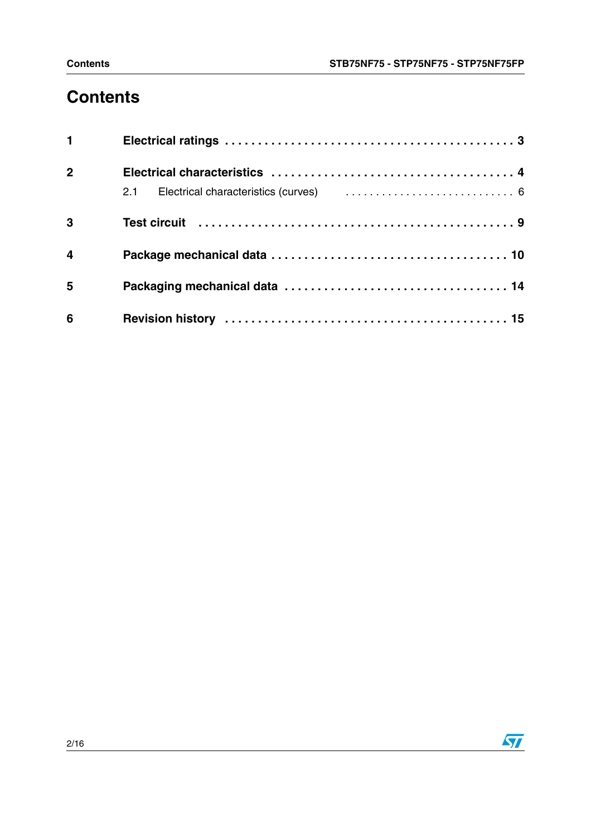# **Contents**

| $1 \quad \blacksquare$ |  |
|------------------------|--|
| $\overline{2}$         |  |
|                        |  |
| 3                      |  |
| $\overline{4}$         |  |
| $5\phantom{1}$         |  |
| $6\phantom{1}6$        |  |

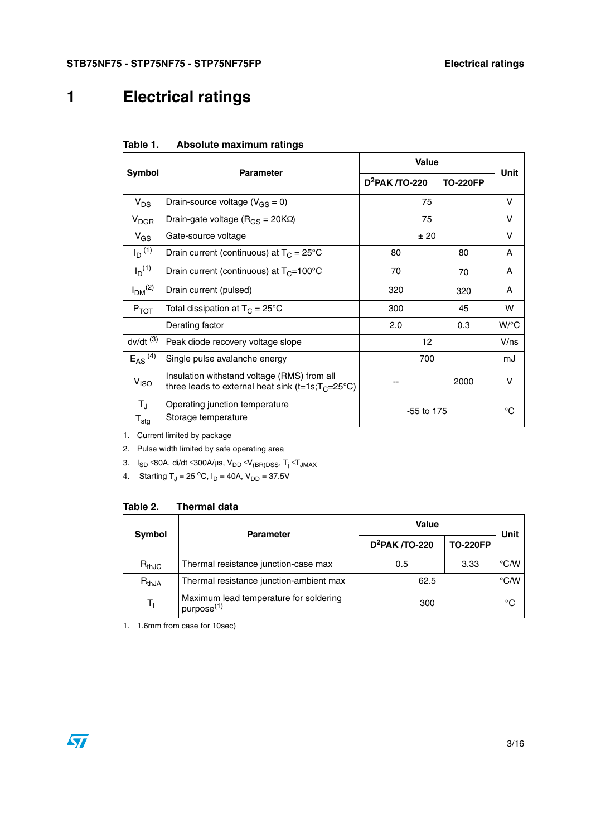# <span id="page-2-0"></span>**1 Electrical ratings**

| Absolute maximum ratings<br>Table 1. |  |
|--------------------------------------|--|
|--------------------------------------|--|

|                                            | <b>Parameter</b>                                                                                     | <b>Value</b>               | Unit            |                    |
|--------------------------------------------|------------------------------------------------------------------------------------------------------|----------------------------|-----------------|--------------------|
| Symbol                                     |                                                                                                      | D <sup>2</sup> PAK /TO-220 | <b>TO-220FP</b> |                    |
| $V_{DS}$                                   | Drain-source voltage ( $V_{GS} = 0$ )                                                                | 75                         |                 | V                  |
| <b>V<sub>DGR</sub></b>                     | Drain-gate voltage (R <sub>GS</sub> = 20ΚΩ)                                                          | 75                         |                 | v                  |
| $V_{GS}$                                   | Gate-source voltage                                                                                  | ± 20                       |                 | V                  |
| $I_D^{(1)}$                                | Drain current (continuous) at $T_C = 25^{\circ}C$                                                    | 80                         | 80              | A                  |
| $I_D^{(1)}$                                | Drain current (continuous) at $T_C = 100^{\circ}C$                                                   | 70                         | 70              | A                  |
| $I_{DM}$ <sup>(2)</sup>                    | Drain current (pulsed)                                                                               | 320                        | 320             | A                  |
| $P_{TOT}$                                  | Total dissipation at $T_C = 25^{\circ}C$                                                             | 300                        | 45              | w                  |
|                                            | Derating factor                                                                                      | 2.0                        | 0.3             | $W$ <sup>o</sup> C |
| $dv/dt$ <sup>(3)</sup>                     | Peak diode recovery voltage slope                                                                    | 12                         |                 | $V$ /ns            |
| $E_{AS}$ <sup>(4)</sup>                    | Single pulse avalanche energy                                                                        | 700                        |                 | mJ                 |
| V <sub>ISO</sub>                           | Insulation withstand voltage (RMS) from all<br>three leads to external heat sink (t=1s; $T_C$ =25°C) |                            | 2000            | v                  |
| $T_{\rm J}$<br>$\mathsf{T}_{\mathsf{stg}}$ | Operating junction temperature<br>Storage temperature                                                | $-55$ to 175               |                 | $^{\circ}$ C       |
|                                            |                                                                                                      |                            |                 |                    |

1. Current limited by package

2. Pulse width limited by safe operating area

3. I<sub>SD</sub> ≤80A, di/dt ≤300A/µs, V<sub>DD</sub> ≤ V<sub>(BR)DSS</sub>, T<sub>j</sub> ≤ T<sub>JMAX</sub>

4. Starting  $T_J = 25 \,^{\circ}\text{C}$ ,  $I_D = 40\text{A}$ ,  $V_{DD} = 37.5\text{V}$ 

| <b>Symbol</b> | <b>Parameter</b>                                                 | Value             | Unit            |               |
|---------------|------------------------------------------------------------------|-------------------|-----------------|---------------|
|               |                                                                  | $D^2$ PAK /TO-220 | <b>TO-220FP</b> |               |
| $R_{thJC}$    | Thermal resistance junction-case max                             | 0.5               | 3.33            | $\degree$ C/W |
| $R_{thJA}$    | Thermal resistance junction-ambient max                          | 62.5              |                 | $\degree$ C/W |
|               | Maximum lead temperature for soldering<br>purpose <sup>(1)</sup> | 300               |                 | °C            |

1. 1.6mm from case for 10sec)

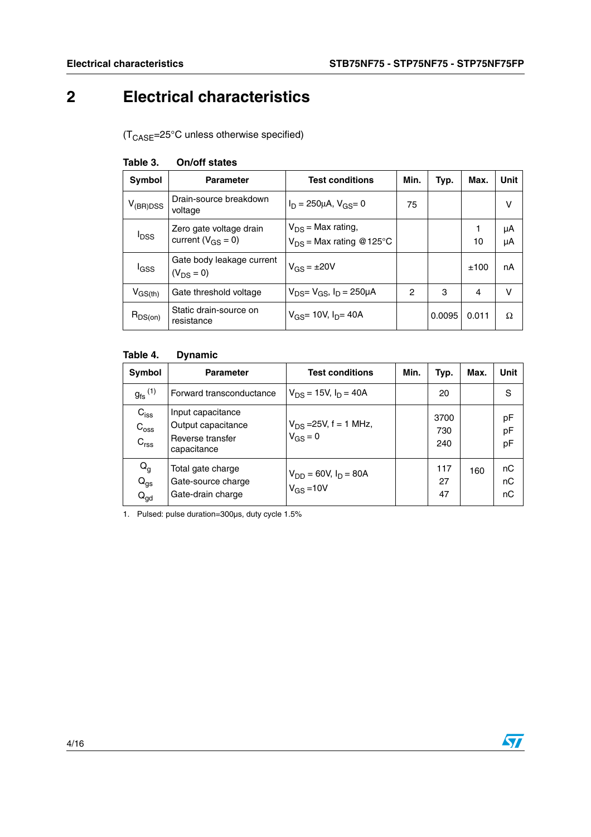# <span id="page-3-0"></span>**2 Electrical characteristics**

 $(T_{\text{CASE}} = 25^{\circ} \text{C}$  unless otherwise specified)

| Symbol           | <b>Parameter</b>                                  | <b>Test conditions</b>                                 | Min. | Typ.   | Max.  | Unit     |
|------------------|---------------------------------------------------|--------------------------------------------------------|------|--------|-------|----------|
| $V_{(BR)DSS}$    | Drain-source breakdown<br>voltage                 | $I_D = 250 \mu A$ , $V_{GS} = 0$                       | 75   |        |       | v        |
| <sup>I</sup> DSS | Zero gate voltage drain<br>current $(V_{GS} = 0)$ | $V_{DS}$ = Max rating,<br>$V_{DS}$ = Max rating @125°C |      |        | 10    | μA<br>μA |
| <b>I</b> GSS     | Gate body leakage current<br>$(V_{DS} = 0)$       | $V_{GS} = \pm 20V$                                     |      |        | ±100  | nA       |
| $V_{GS(th)}$     | Gate threshold voltage                            | $V_{DS} = V_{GS}$ , $I_D = 250 \mu A$                  | 2    | 3      | 4     | $\vee$   |
| $R_{DS(on)}$     | Static drain-source on<br>resistance              | $V_{GS}$ = 10V, I <sub>D</sub> = 40A                   |      | 0.0095 | 0.011 | Ω        |

### **Table 3. On/off states**

### **Table 4. Dynamic**

| Symbol                                                   | <b>Parameter</b>                                                           | <b>Test conditions</b>                      | Min. | Typ.               | Max. | Unit           |
|----------------------------------------------------------|----------------------------------------------------------------------------|---------------------------------------------|------|--------------------|------|----------------|
| $g_{\text{fs}}^{(1)}$                                    | Forward transconductance                                                   | $V_{DS}$ = 15V, $I_D$ = 40A                 |      | 20                 |      | S              |
| $C_{\text{iss}}$<br>$C_{\rm{oss}}$<br>C <sub>rss</sub>   | Input capacitance<br>Output capacitance<br>Reverse transfer<br>capacitance | $V_{DS}$ =25V, f = 1 MHz,<br>$V_{GS} = 0$   |      | 3700<br>730<br>240 |      | pF<br>pF<br>pF |
| $\mathsf{Q}_{\mathsf{g}}$<br>$Q_{gs}$<br>$Q_{\text{gd}}$ | Total gate charge<br>Gate-source charge<br>Gate-drain charge               | $V_{DD} = 60V, I_D = 80A$<br>$V_{GS} = 10V$ |      | 117<br>27<br>47    | 160  | nC<br>nC<br>nC |

1. Pulsed: pulse duration=300µs, duty cycle 1.5%

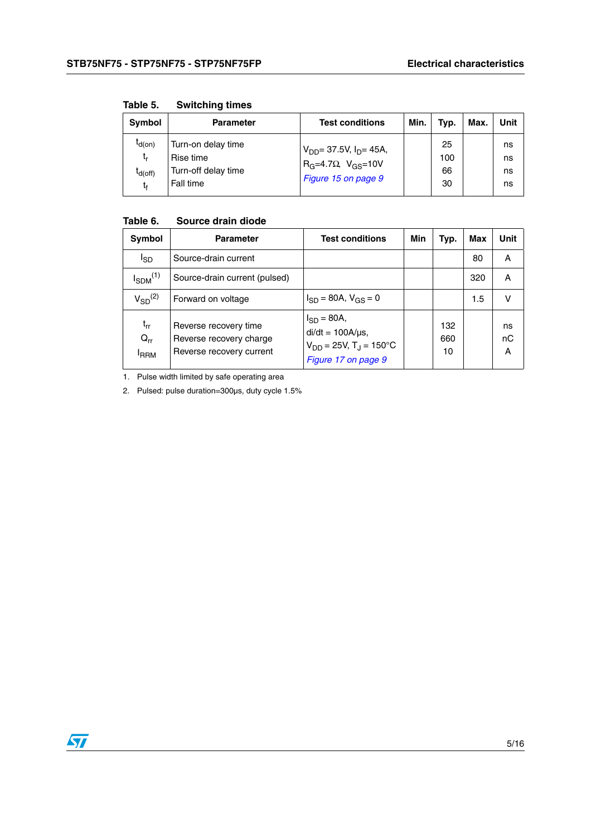| Symbol                                  | <b>Parameter</b>                                                    | <b>Test conditions</b>                                                                    | Min. | Typ.                  | Max. | Unit                 |
|-----------------------------------------|---------------------------------------------------------------------|-------------------------------------------------------------------------------------------|------|-----------------------|------|----------------------|
| $I_{d(0n)}$<br>t,<br>$I_{d(off)}$<br>t, | Turn-on delay time<br>Rise time<br>Turn-off delay time<br>Fall time | $V_{DD}$ = 37.5V, $I_{D}$ = 45A,<br>$R_G=4.7\Omega$ , $V_{GS}=10V$<br>Figure 15 on page 9 |      | 25<br>100<br>66<br>30 |      | ns<br>ns<br>ns<br>ns |

**Table 5. Switching times**

### **Table 6. Source drain diode**

| Symbol                              | <b>Parameter</b>                                                             | <b>Test conditions</b>                                                                                      | Min | Typ.             | Max | Unit          |
|-------------------------------------|------------------------------------------------------------------------------|-------------------------------------------------------------------------------------------------------------|-----|------------------|-----|---------------|
| I <sub>SD</sub>                     | Source-drain current                                                         |                                                                                                             |     |                  | 80  | A             |
| $I_{SDM}^{(1)}$                     | Source-drain current (pulsed)                                                |                                                                                                             |     |                  | 320 | A             |
| $V_{SD}^{(2)}$                      | Forward on voltage                                                           | $I_{SD} = 80A, V_{GS} = 0$                                                                                  |     |                  | 1.5 | V             |
| $t_{rr}$<br>$Q_{rr}$<br><b>IRRM</b> | Reverse recovery time<br>Reverse recovery charge<br>Reverse recovery current | $I_{SD} = 80A,$<br>$di/dt = 100A/\mu s$ ,<br>$V_{DD} = 25V$ , T <sub>J</sub> = 150°C<br>Figure 17 on page 9 |     | 132<br>660<br>10 |     | ns<br>nC<br>Α |

1. Pulse width limited by safe operating area

2. Pulsed: pulse duration=300µs, duty cycle 1.5%

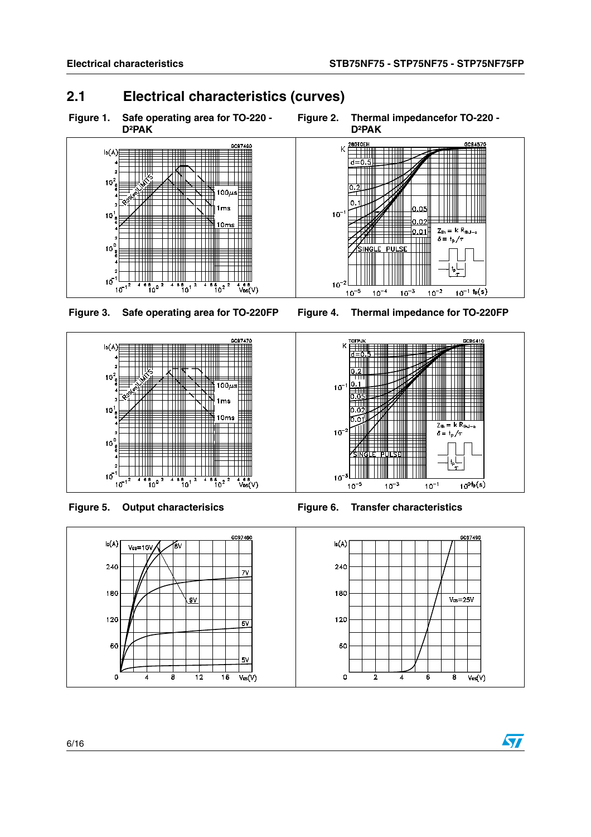## <span id="page-5-0"></span>**2.1 Electrical characteristics (curves)**





**Figure 3. Safe operating area for TO-220FP Figure 4. Thermal impedance for TO-220FP**









0.O!

 $0.02$ 

 $|0.01|$ 

 $10^{-3}$ 

 $10^{-2}$ 

 $Z_{\text{th}} = k R_{\text{thJ-c}}$  $\delta = \frac{1}{2} \int_T$ 

 $\frac{1}{10^{-1}}$  t<sub>p</sub>(s)

57

 $\overline{\mathsf{K}}$ 

 $10<sup>°</sup>$ 

 $10^{-3}$ 

 $10^{-5}$ 

 $10^{-4}$ 

 $\frac{1}{d} = 0$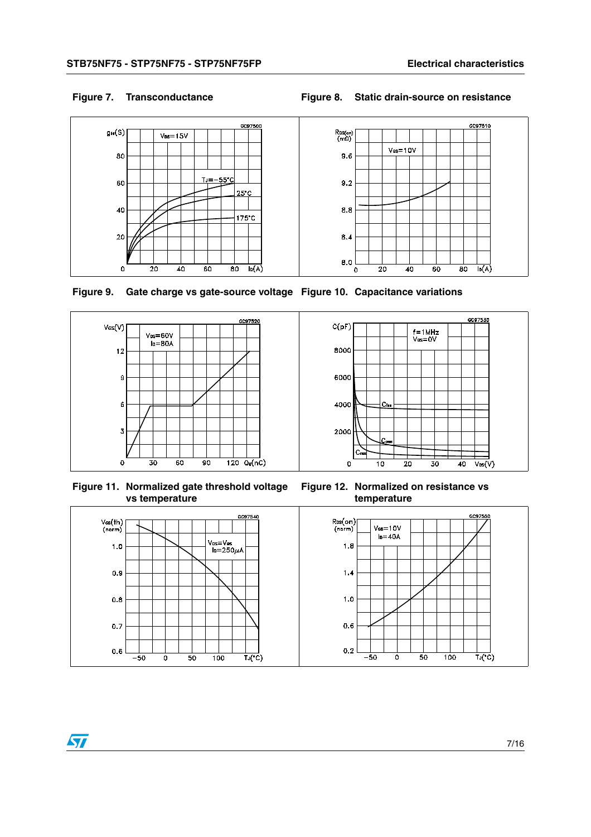GC97510

### **Figure 7. Transconductance Figure 8. Static drain-source on resistance**





**Figure 9. Gate charge vs gate-source voltage Figure 10. Capacitance variations**





**Figure 11. Normalized gate threshold voltage vs temperature**

**Figure 12. Normalized on resistance vs temperature**

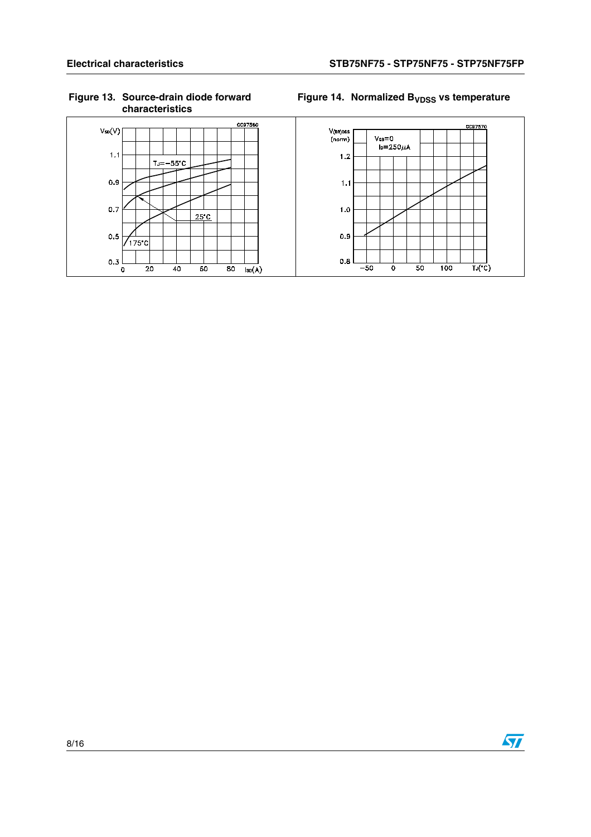### **Figure 13. Source-drain diode forward characteristics**

### Figure 14. Normalized B<sub>VDSS</sub> vs temperature



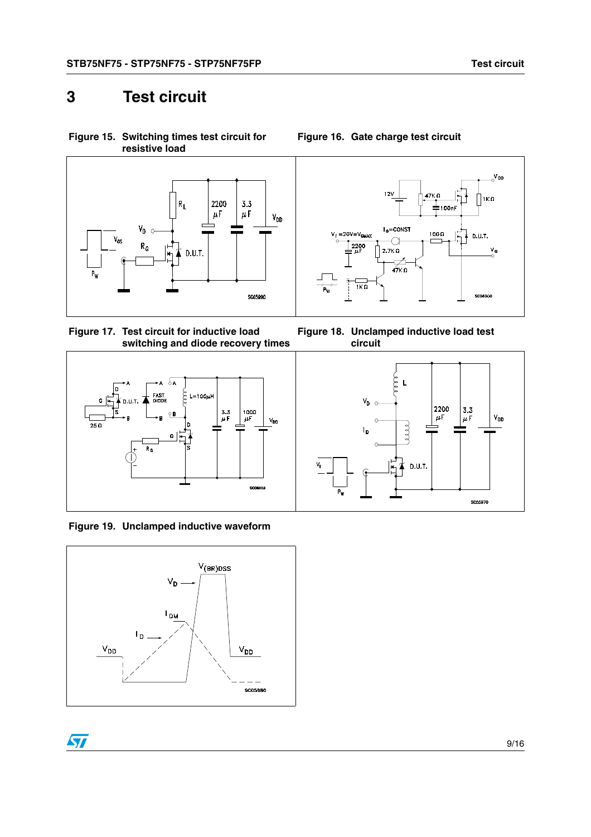<span id="page-8-2"></span>**Figure 15. Switching times test circuit for** 

## <span id="page-8-0"></span>**3 Test circuit**



<span id="page-8-1"></span>**Figure 17. Test circuit for inductive load switching and diode recovery times**



**Figure 19. Unclamped inductive waveform**





**Figure 16. Gate charge test circuit**



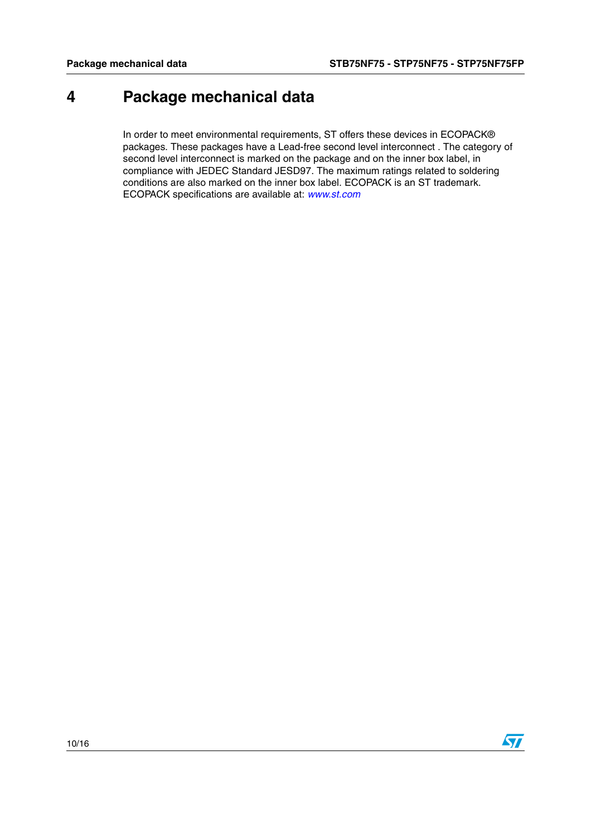# <span id="page-9-0"></span>**4 Package mechanical data**

In order to meet environmental requirements, ST offers these devices in ECOPACK® packages. These packages have a Lead-free second level interconnect . The category of second level interconnect is marked on the package and on the inner box label, in compliance with JEDEC Standard JESD97. The maximum ratings related to soldering conditions are also marked on the inner box label. ECOPACK is an ST trademark. ECOPACK specifications are available at: *[www.st.com](http://www.st.com)*

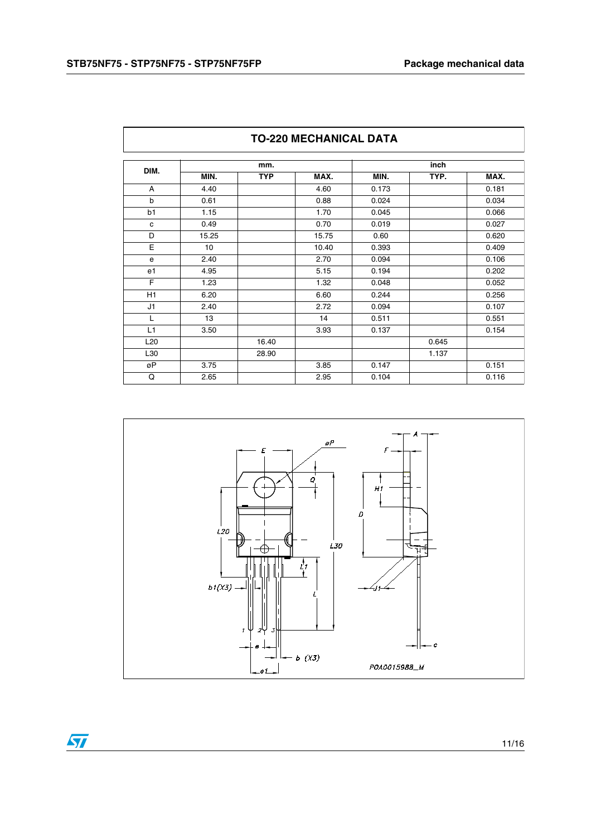|                 | mm.              |            |       |       | inch  |       |
|-----------------|------------------|------------|-------|-------|-------|-------|
| DIM.            | MIN.             | <b>TYP</b> | MAX.  | MIN.  | TYP.  | MAX.  |
| A               | 4.40             |            | 4.60  | 0.173 |       | 0.181 |
| $\mathsf b$     | 0.61             |            | 0.88  | 0.024 |       | 0.034 |
| b1              | 1.15             |            | 1.70  | 0.045 |       | 0.066 |
| c               | 0.49             |            | 0.70  | 0.019 |       | 0.027 |
| D               | 15.25            |            | 15.75 | 0.60  |       | 0.620 |
| E               | 10 <sup>10</sup> |            | 10.40 | 0.393 |       | 0.409 |
| e               | 2.40             |            | 2.70  | 0.094 |       | 0.106 |
| e1              | 4.95             |            | 5.15  | 0.194 |       | 0.202 |
| E               | 1.23             |            | 1.32  | 0.048 |       | 0.052 |
| H1              | 6.20             |            | 6.60  | 0.244 |       | 0.256 |
| J1              | 2.40             |            | 2.72  | 0.094 |       | 0.107 |
| L               | 13               |            | 14    | 0.511 |       | 0.551 |
| L1              | 3.50             |            | 3.93  | 0.137 |       | 0.154 |
| L <sub>20</sub> |                  | 16.40      |       |       | 0.645 |       |
| L30             |                  | 28.90      |       |       | 1.137 |       |
| øP              | 3.75             |            | 3.85  | 0.147 |       | 0.151 |
| Q               | 2.65             |            | 2.95  | 0.104 |       | 0.116 |



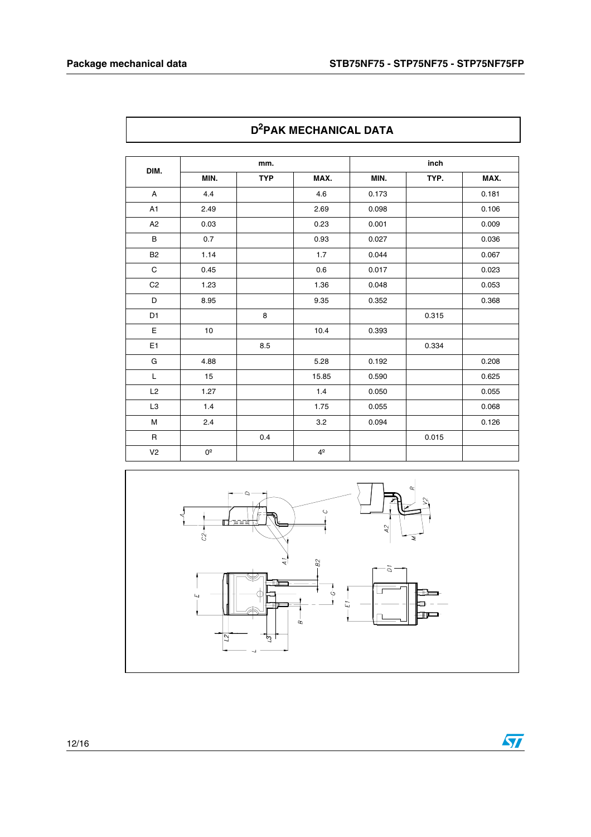$\sqrt{2}$ 

| DIM.           | mm.          |            |                | inch  |       |       |
|----------------|--------------|------------|----------------|-------|-------|-------|
|                | MIN.         | <b>TYP</b> | MAX.           | MIN.  | TYP.  | MAX.  |
| A              | 4.4          |            | 4.6            | 0.173 |       | 0.181 |
| A1             | 2.49         |            | 2.69           | 0.098 |       | 0.106 |
| A <sub>2</sub> | 0.03         |            | 0.23           | 0.001 |       | 0.009 |
| $\sf B$        | 0.7          |            | 0.93           | 0.027 |       | 0.036 |
| <b>B2</b>      | 1.14         |            | 1.7            | 0.044 |       | 0.067 |
| $\mathsf C$    | 0.45         |            | 0.6            | 0.017 |       | 0.023 |
| C <sub>2</sub> | 1.23         |            | 1.36           | 0.048 |       | 0.053 |
| D              | 8.95         |            | 9.35           | 0.352 |       | 0.368 |
| D1             |              | 8          |                |       | 0.315 |       |
| $\mathsf E$    | 10           |            | 10.4           | 0.393 |       |       |
| E <sub>1</sub> |              | 8.5        |                |       | 0.334 |       |
| G              | 4.88         |            | 5.28           | 0.192 |       | 0.208 |
| L              | 15           |            | 15.85          | 0.590 |       | 0.625 |
| L2             | 1.27         |            | 1.4            | 0.050 |       | 0.055 |
| L <sub>3</sub> | 1.4          |            | 1.75           | 0.055 |       | 0.068 |
| M              | 2.4          |            | 3.2            | 0.094 |       | 0.126 |
| $\mathsf R$    |              | 0.4        |                |       | 0.015 |       |
| V <sub>2</sub> | $0^\text{o}$ |            | 4 <sup>°</sup> |       |       |       |



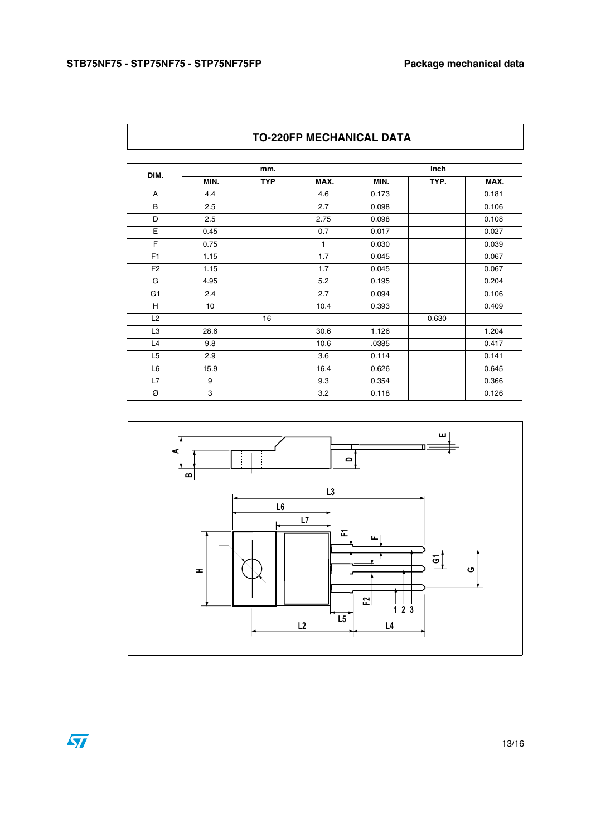| DIM.           | mm.  |            |      | inch  |       |       |
|----------------|------|------------|------|-------|-------|-------|
|                | MIN. | <b>TYP</b> | MAX. | MIN.  | TYP.  | MAX.  |
| A              | 4.4  |            | 4.6  | 0.173 |       | 0.181 |
| B              | 2.5  |            | 2.7  | 0.098 |       | 0.106 |
| D              | 2.5  |            | 2.75 | 0.098 |       | 0.108 |
| E              | 0.45 |            | 0.7  | 0.017 |       | 0.027 |
| F              | 0.75 |            | 1    | 0.030 |       | 0.039 |
| F <sub>1</sub> | 1.15 |            | 1.7  | 0.045 |       | 0.067 |
| F <sub>2</sub> | 1.15 |            | 1.7  | 0.045 |       | 0.067 |
| G              | 4.95 |            | 5.2  | 0.195 |       | 0.204 |
| G <sub>1</sub> | 2.4  |            | 2.7  | 0.094 |       | 0.106 |
| H              | 10   |            | 10.4 | 0.393 |       | 0.409 |
| L2             |      | 16         |      |       | 0.630 |       |
| L <sub>3</sub> | 28.6 |            | 30.6 | 1.126 |       | 1.204 |
| L4             | 9.8  |            | 10.6 | .0385 |       | 0.417 |
| L <sub>5</sub> | 2.9  |            | 3.6  | 0.114 |       | 0.141 |
| L <sub>6</sub> | 15.9 |            | 16.4 | 0.626 |       | 0.645 |
| L7             | 9    |            | 9.3  | 0.354 |       | 0.366 |
| Ø              | 3    |            | 3.2  | 0.118 |       | 0.126 |

### **TO-220FP MECHANICAL DATA**

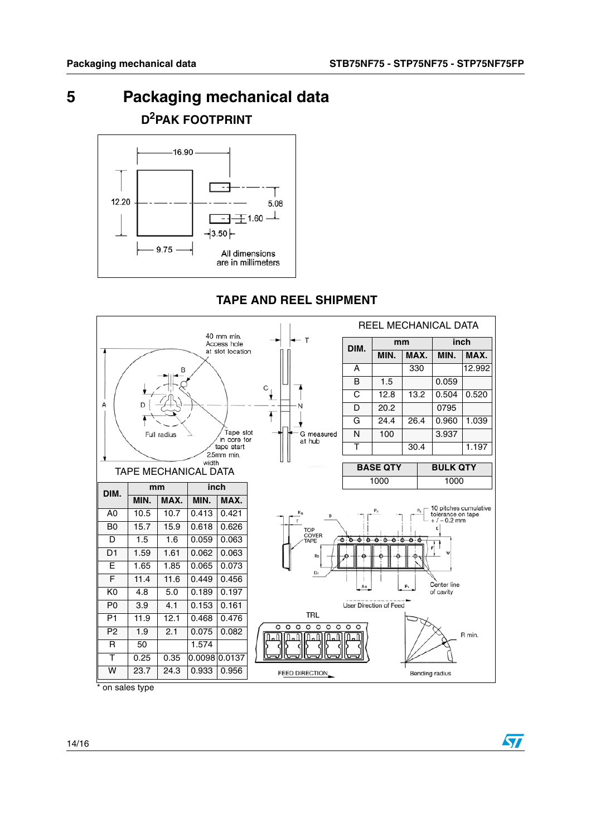57

## <span id="page-13-0"></span>**5 Packaging mechanical data D2PAK FOOTPRINT**



## **TAPE AND REEL SHIPMENT**



on sales type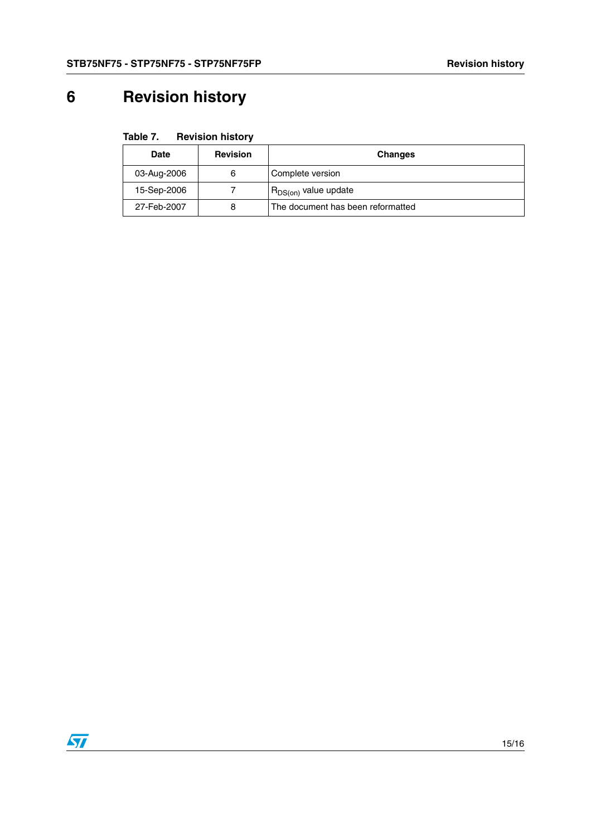# <span id="page-14-0"></span>**6 Revision history**

| Table 7. | <b>Revision history</b> |  |
|----------|-------------------------|--|
|----------|-------------------------|--|

| Date        | <b>Revision</b> | <b>Changes</b>                    |
|-------------|-----------------|-----------------------------------|
| 03-Aug-2006 | 6               | Complete version                  |
| 15-Sep-2006 |                 | R <sub>DS(on)</sub> value update  |
| 27-Feb-2007 | 8               | The document has been reformatted |